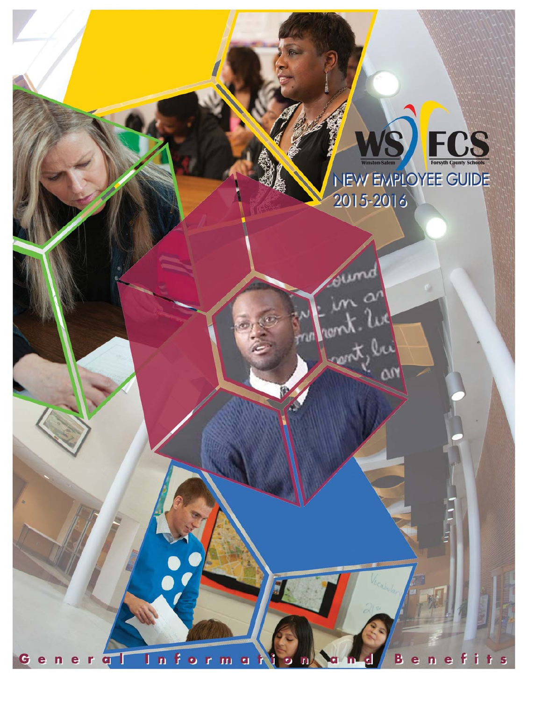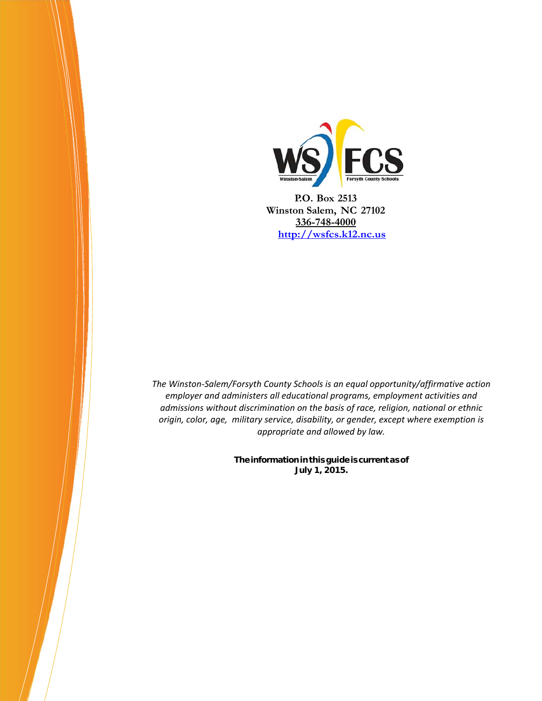

**P.O. Box 2513 Winston Salem, NC 27102 336-748-4000 http://wsfcs.k12.nc.us** 

*The Winston‐Salem/Forsyth County Schools is an equal opportunity/affirmative action employer and administers all educational programs, employment activities and admissions without discrimination on the basis of race, religion, national or ethnic origin, color, age, military service, disability, or gender, except where exemption is appropriate and allowed by law.*

> **The information in this guide is current as of July 1, 2015.**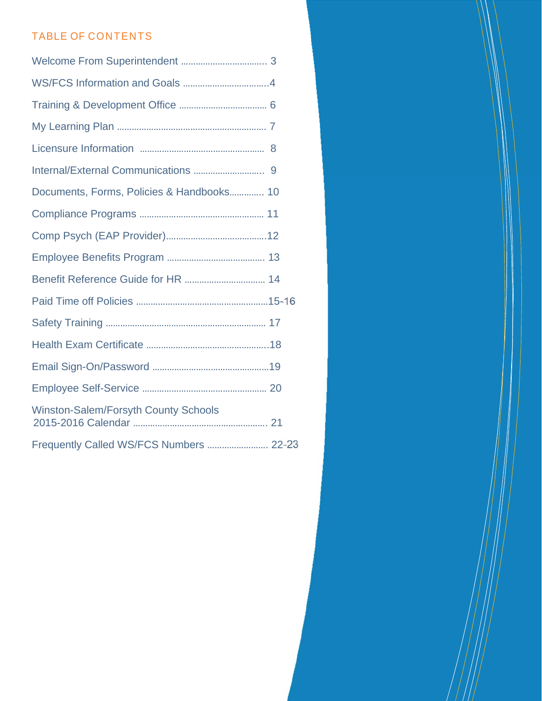## TABLE OF CONTENTS

| Documents, Forms, Policies & Handbooks 10 |
|-------------------------------------------|
|                                           |
|                                           |
|                                           |
|                                           |
|                                           |
|                                           |
|                                           |
|                                           |
|                                           |
| Winston-Salem/Forsyth County Schools      |
| Frequently Called WS/FCS Numbers  22-23   |

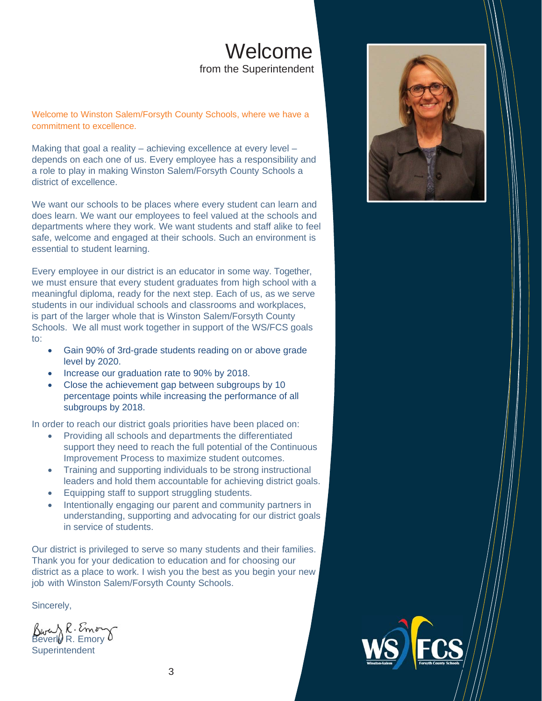# Welcome

from the Superintendent

Welcome to Winston Salem/Forsyth County Schools, where we have a commitment to excellence.

Making that goal a reality – achieving excellence at every level – depends on each one of us. Every employee has a responsibility and a role to play in making Winston Salem/Forsyth County Schools a district of excellence.

We want our schools to be places where every student can learn and does learn. We want our employees to feel valued at the schools and departments where they work. We want students and staff alike to feel safe, welcome and engaged at their schools. Such an environment is essential to student learning.

Every employee in our district is an educator in some way. Together, we must ensure that every student graduates from high school with a meaningful diploma, ready for the next step. Each of us, as we serve students in our individual schools and classrooms and workplaces, is part of the larger whole that is Winston Salem/Forsyth County Schools. We all must work together in support of the WS/FCS goals to:

- Gain 90% of 3rd-grade students reading on or above grade level by 2020.
- Increase our graduation rate to 90% by 2018.
- Close the achievement gap between subgroups by 10 percentage points while increasing the performance of all subgroups by 2018.

In order to reach our district goals priorities have been placed on:

- Providing all schools and departments the differentiated support they need to reach the full potential of the Continuous Improvement Process to maximize student outcomes.
- Training and supporting individuals to be strong instructional leaders and hold them accountable for achieving district goals.
- Equipping staff to support struggling students.
- Intentionally engaging our parent and community partners in understanding, supporting and advocating for our district goals in service of students.

Our district is privileged to serve so many students and their families. Thank you for your dedication to education and for choosing our district as a place to work. I wish you the best as you begin your new job with Winston Salem/Forsyth County Schools.

Sincerely,

**Superintendent** Beverly R. Emony 8



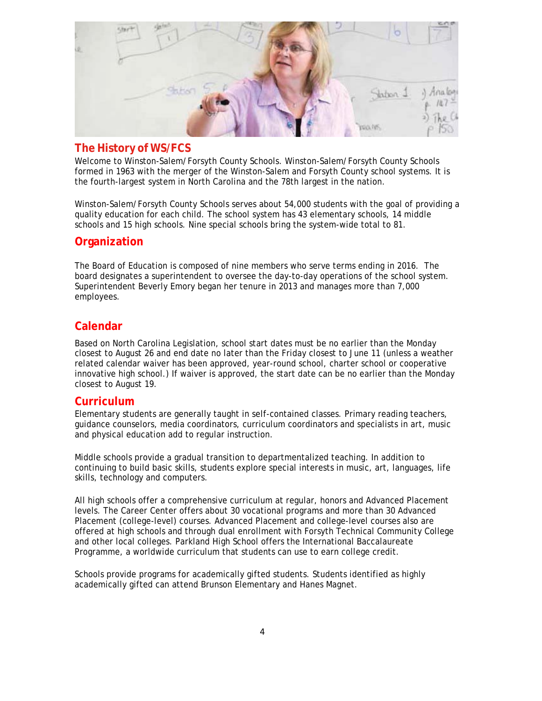

## **The History of WS/FCS**

Welcome to Winston-Salem/Forsyth County Schools. Winston-Salem/Forsyth County Schools formed in 1963 with the merger of the Winston-Salem and Forsyth County school systems. It is the fourth-largest system in North Carolina and the 78th largest in the nation.

Winston-Salem/Forsyth County Schools serves about 54,000 students with the goal of providing a quality education for each child. The school system has 43 elementary schools, 14 middle schools and 15 high schools. Nine special schools bring the system-wide total to 81.

## **Organization**

The Board of Education is composed of nine members who serve terms ending in 2016. The board designates a superintendent to oversee the day-to-day operations of the school system. Superintendent Beverly Emory began her tenure in 2013 and manages more than 7,000 employees.

## **Calendar**

Based on North Carolina Legislation, school start dates must be no earlier than the Monday closest to August 26 and end date no later than the Friday closest to June 11 (unless a weather related calendar waiver has been approved, year-round school, charter school or cooperative innovative high school.) If waiver is approved, the start date can be no earlier than the Monday closest to August 19.

### **Curriculum**

Elementary students are generally taught in self-contained classes. Primary reading teachers, guidance counselors, media coordinators, curriculum coordinators and specialists in art, music and physical education add to regular instruction.

Middle schools provide a gradual transition to departmentalized teaching. In addition to continuing to build basic skills, students explore special interests in music, art, languages, life skills, technology and computers.

All high schools offer a comprehensive curriculum at regular, honors and Advanced Placement levels. The Career Center offers about 30 vocational programs and more than 30 Advanced Placement (college-level) courses. Advanced Placement and college-level courses also are offered at high schools and through dual enrollment with Forsyth Technical Community College and other local colleges. Parkland High School offers the International Baccalaureate Programme, a worldwide curriculum that students can use to earn college credit.

Schools provide programs for academically gifted students. Students identified as highly academically gifted can attend Brunson Elementary and Hanes Magnet.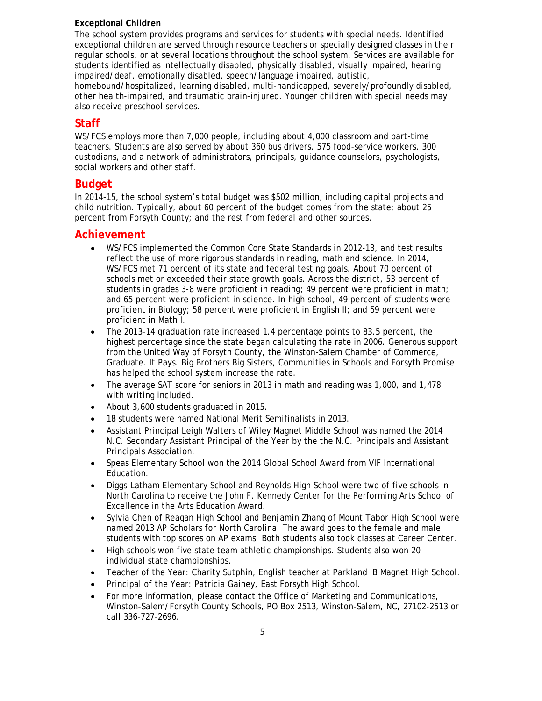#### **Exceptional Children**

The school system provides programs and services for students with special needs. Identified exceptional children are served through resource teachers or specially designed classes in their regular schools, or at several locations throughout the school system. Services are available for students identified as intellectually disabled, physically disabled, visually impaired, hearing impaired/deaf, emotionally disabled, speech/language impaired, autistic,

homebound/hospitalized, learning disabled, multi-handicapped, severely/profoundly disabled, other health-impaired, and traumatic brain-injured. Younger children with special needs may also receive preschool services.

## **Staff**

WS/FCS employs more than 7,000 people, including about 4,000 classroom and part-time teachers. Students are also served by about 360 bus drivers, 575 food-service workers, 300 custodians, and a network of administrators, principals, guidance counselors, psychologists, social workers and other staff.

## **Budget**

In 2014-15, the school system's total budget was \$502 million, including capital projects and child nutrition. Typically, about 60 percent of the budget comes from the state; about 25 percent from Forsyth County; and the rest from federal and other sources.

### **Achievement**

- WS/FCS implemented the Common Core State Standards in 2012-13, and test results reflect the use of more rigorous standards in reading, math and science. In 2014, WS/FCS met 71 percent of its state and federal testing goals. About 70 percent of schools met or exceeded their state growth goals. Across the district, 53 percent of students in grades 3-8 were proficient in reading; 49 percent were proficient in math; and 65 percent were proficient in science. In high school, 49 percent of students were proficient in Biology; 58 percent were proficient in English II; and 59 percent were proficient in Math I.
- The 2013-14 graduation rate increased 1.4 percentage points to 83.5 percent, the highest percentage since the state began calculating the rate in 2006. Generous support from the United Way of Forsyth County, the Winston-Salem Chamber of Commerce, Graduate. It Pays. Big Brothers Big Sisters, Communities in Schools and Forsyth Promise has helped the school system increase the rate.
- The average SAT score for seniors in 2013 in math and reading was 1,000, and 1,478 with writing included.
- About 3,600 students graduated in 2015.
- 18 students were named National Merit Semifinalists in 2013.
- Assistant Principal Leigh Walters of Wiley Magnet Middle School was named the 2014 N.C. Secondary Assistant Principal of the Year by the the N.C. Principals and Assistant Principals Association.
- Speas Elementary School won the 2014 Global School Award from VIF International Education.
- Diggs-Latham Elementary School and Reynolds High School were two of five schools in North Carolina to receive the John F. Kennedy Center for the Performing Arts School of Excellence in the Arts Education Award.
- Sylvia Chen of Reagan High School and Benjamin Zhang of Mount Tabor High School were named 2013 AP Scholars for North Carolina. The award goes to the female and male students with top scores on AP exams. Both students also took classes at Career Center.
- High schools won five state team athletic championships. Students also won 20 individual state championships.
- Teacher of the Year: Charity Sutphin, English teacher at Parkland IB Magnet High School.
- Principal of the Year: Patricia Gainey, East Forsyth High School.
- For more information, please contact the Office of Marketing and Communications, Winston-Salem/Forsyth County Schools, PO Box 2513, Winston-Salem, NC, 27102-2513 or call 336-727-2696.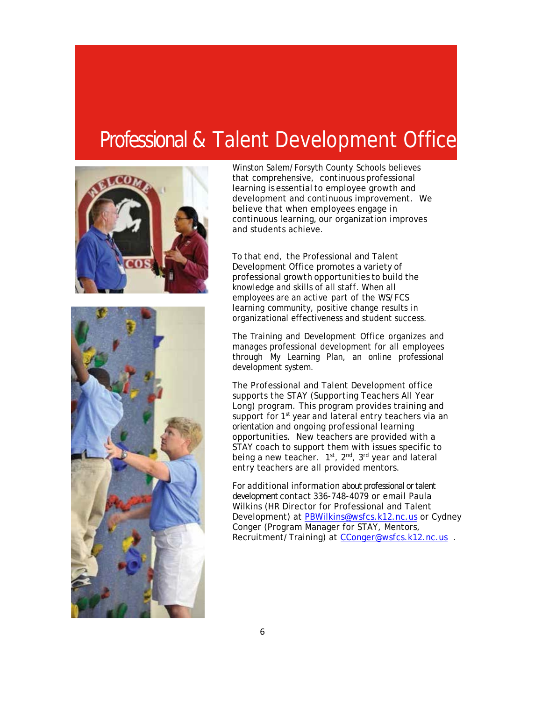## Professional & Talent Development Office



Winston Salem/Forsyth County Schools believes that comprehensive, continuous professional learning is essential to employee growth and development and continuous improvement. We believe that when employees engage in continuous learning, our organization improves and students achieve.

To that end, the Professional and Talent Development Office promotes a variety of professional growth opportunities to build the knowledge and skills of all staff. When all employees are an active part of the WS/FCS learning community, positive change results in organizational effectiveness and student success.

The Training and Development Office organizes and manages professional development for all employees through My Learning Plan, an online professional development system.

The Professional and Talent Development office supports the STAY (Supporting Teachers All Year Long) program. This program provides training and support for 1<sup>st</sup> year and lateral entry teachers via an orientation and ongoing professional learning opportunities. New teachers are provided with a STAY coach to support them with issues specific to being a new teacher. 1st, 2<sup>nd</sup>, 3<sup>rd</sup> year and lateral entry teachers are all provided mentors.

For additional information about professional or talent development contact 336-748-4079 or email Paula Wilkins (HR Director for Professional and Talent Development) at PBWilkins@wsfcs.k12.nc.us or Cydney Conger (Program Manager for STAY, Mentors, Recruitment/Training) at CConger@wsfcs.k12.nc.us.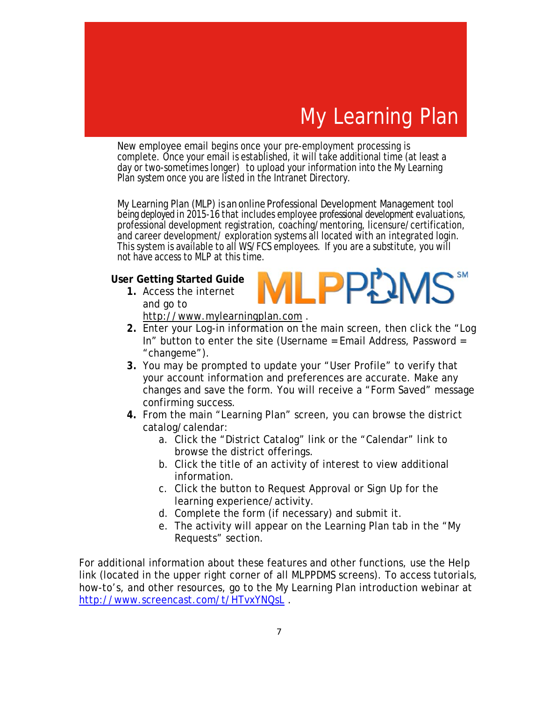# My Learning Plan

New employee email begins once your pre-employment processing is complete. Once your email is established, it will take additional time (at least a day or two-sometimes longer) to upload your information into the My Learning Plan system once you are listed in the Intranet Directory.

My Learning Plan (MLP) is an online Professional Development Management tool being deployed in 2015-16 that includes employee professional development evaluations, professional development registration, coaching/mentoring, licensure/certification, and career development/ exploration systems all located with an integrated login. This system is available to all WS/FCS employees. If you are a substitute, you will not have access to MLP at this time.

## **User Getting Started Guide**

**1.** Access the internet and go to



http://www.mylearningplan.com .

- **2.** Enter your Log-in information on the main screen, then click the "Log In" button to enter the site (Username = Email Address, Password = "changeme").
- **3.** You may be prompted to update your "User Profile" to verify that your account information and preferences are accurate. Make any changes and save the form. You will receive a "Form Saved" message confirming success.
- **4.** From the main "Learning Plan" screen, you can browse the district catalog/calendar:
	- a. Click the "District Catalog" link or the "Calendar" link to browse the district offerings.
	- b. Click the title of an activity of interest to view additional information.
	- c. Click the button to Request Approval or Sign Up for the learning experience/activity.
	- d. Complete the form (if necessary) and submit it.
	- e. The activity will appear on the Learning Plan tab in the "My Requests" section.

For additional information about these features and other functions, use the Help link (located in the upper right corner of all MLPPDMS screens). To access tutorials, how-to's, and other resources, go to the My Learning Plan introduction webinar at http://www.screencast.com/t/HTvxYNQsL .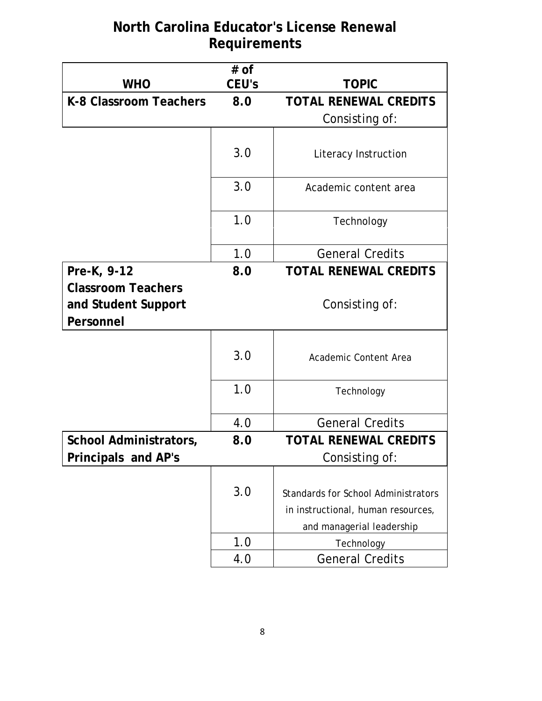| North Carolina Educator's License Renewal |  |
|-------------------------------------------|--|
| <b>Requirements</b>                       |  |

|                           | $#$ of |                                            |
|---------------------------|--------|--------------------------------------------|
| <b>WHO</b>                | CEU's  | <b>TOPIC</b>                               |
| K-8 Classroom Teachers    | 8.0    | <b>TOTAL RENEWAL CREDITS</b>               |
|                           |        | Consisting of:                             |
|                           |        |                                            |
|                           | 3.0    | Literacy Instruction                       |
|                           |        |                                            |
|                           | 3.0    | Academic content area                      |
|                           |        |                                            |
|                           | 1.0    | Technology                                 |
|                           |        |                                            |
|                           | 1.0    | <b>General Credits</b>                     |
| Pre-K, 9-12               | 8.0    | <b>TOTAL RENEWAL CREDITS</b>               |
| <b>Classroom Teachers</b> |        |                                            |
| and Student Support       |        | Consisting of:                             |
| Personnel                 |        |                                            |
|                           |        |                                            |
|                           | 3.0    | <b>Academic Content Area</b>               |
|                           |        |                                            |
|                           | 1.0    | Technology                                 |
|                           |        |                                            |
|                           | 4.0    | <b>General Credits</b>                     |
| School Administrators,    | 8.0    | <b>TOTAL RENEWAL CREDITS</b>               |
| Principals and AP's       |        | Consisting of:                             |
|                           |        |                                            |
|                           | 3.0    | <b>Standards for School Administrators</b> |
|                           |        | in instructional, human resources,         |
|                           |        | and managerial leadership                  |
|                           | 1.0    | Technology                                 |
|                           | 4.0    | <b>General Credits</b>                     |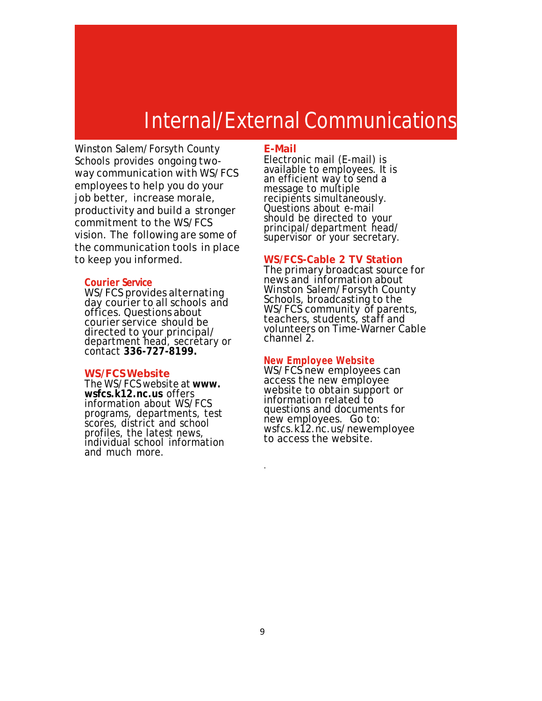## Internal/External Communications

Winston Salem/Forsyth County Schools provides ongoing twoway communication with WS/FCS employees to help you do your job better, increase morale, productivity and build a stronger commitment to the WS/FCS vision. The following are some of the communication tools in place to keep you informed.

#### **Courier Service**

WS/FCS provides alternating day courier to all schools and offices. Questions about courier service should be directed to your principal/ department head, secretary or contact **336-727-8199.**

#### **WS/FCS Website**

The WS/FCS website at **www. wsfcs.k12.nc.us** offers information about WS/FCS programs, departments, test scores, district and school profiles, the latest news, individual school information and much more.

#### **E-Mail**

Electronic mail (E-mail) is available to employees. It is an efficient way to send a message to multiple recipients simultaneously. Questions about e-mail<br>should be directed to your principal/department head/ supervisor or your secretary.

#### **WS/FCS-Cable 2 TV Station**

The primary broadcast source for news and information about Winston Salem/Forsyth County Schools, broadcasting to the WS/FCS community of parents, teachers, students, staff and volunteers on Time-Warner Cable channel 2.

#### *New Employee Website*

WS/FCS new employees can access the new employee website to obtain support or information related to questions and documents for new employees. Go to: wsfcs.k12.nc.us/newemployee to access the website.

.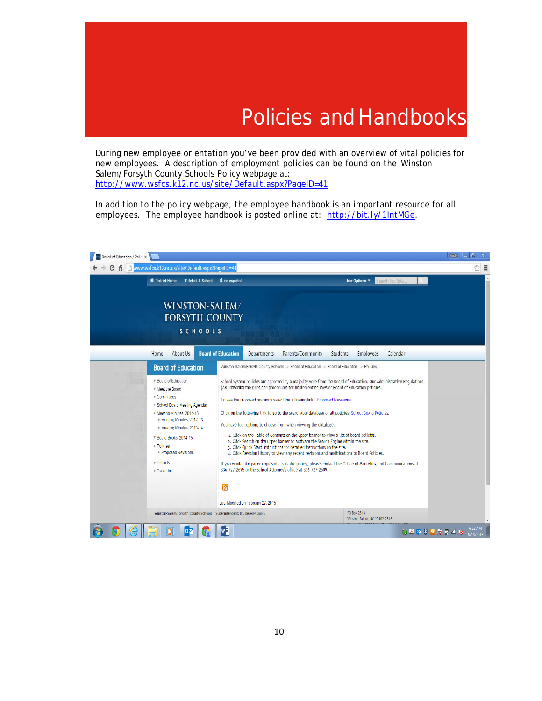# Policies and Handbooks

During new employee orientation you've been provided with an overview of vital policies for new employees. A description of employment policies can be found on the Winston Salem/Forsyth County Schools Policy webpage at: http://www.wsfcs.k12.nc.us/site/Default.aspx?PageID=41

In addition to the policy webpage, the employee handbook is an important resource for all employees. The employee handbook is posted online at: http://bit.ly/1IntMGe.

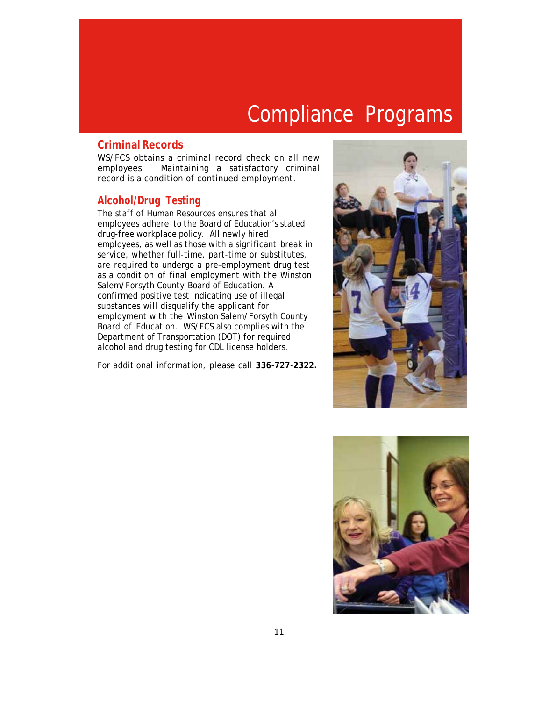# Compliance Programs

## **Criminal Records**

WS/FCS obtains a criminal record check on all new employees. Maintaining a satisfactory criminal record is a condition of continued employment.

## **Alcohol/Drug Testing**

The staff of Human Resources ensures that all employees adhere to the Board of Education's stated drug-free workplace policy. All newly hired employees, as well as those with a significant break in service, whether full-time, part-time or substitutes, are required to undergo a pre-employment drug test as a condition of final employment with the Winston Salem/Forsyth County Board of Education. A confirmed positive test indicating use of illegal substances will disqualify the applicant for employment with the Winston Salem/Forsyth County Board of Education. WS/FCS also complies with the Department of Transportation (DOT) for required alcohol and drug testing for CDL license holders.

For additional information, please call **336-727-2322.**



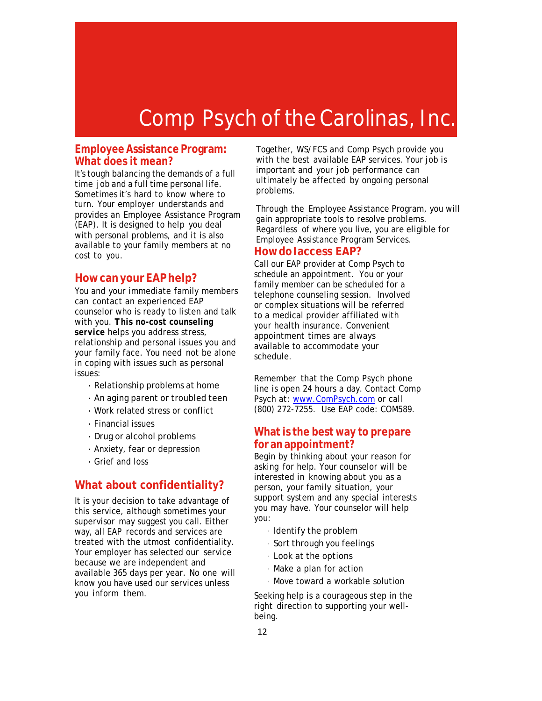# Comp Psych of the Carolinas, Inc.

## **Employee Assistance Program: What does it mean?**

It's tough balancing the demands of a full time job and a full time personal life. Sometimes it's hard to know where to turn. Your employer understands and provides an Employee Assistance Program (EAP). It is designed to help you deal with personal problems, and it is also available to your family members at no cost to you.

## **How can your EAP help?**

You and your immediate family members can contact an experienced EAP counselor who is ready to listen and talk with you. *This no-cost counseling service* helps you address stress, relationship and personal issues you and your family face. You need not be alone in coping with issues such as personal issues:

- Relationship problems at home
- An aging parent or troubled teen
- Work related stress or conflict
- Financial issues
- Drug or alcohol problems
- Anxiety, fear or depression
- Grief and loss

## **What about confidentiality?**

It is your decision to take advantage of this service, although sometimes your supervisor may suggest you call. Either way, all EAP records and services are treated with the utmost confidentiality. Your employer has selected our service because we are independent and available 365 days per year. No one will know you have used our services unless you inform them.

Together, WS/FCS and Comp Psych provide you with the best available EAP services. Your job is important and your job performance can ultimately be affected by ongoing personal problems.

Through the Employee Assistance Program, you will gain appropriate tools to resolve problems. Regardless of where you live, you are eligible for Employee Assistance Program Services. **How do I access EAP?**

Call our EAP provider at Comp Psych to schedule an appointment. You or your family member can be scheduled for a telephone counseling session. Involved or complex situations will be referred to a medical provider affiliated with your health insurance. Convenient appointment times are always available to accommodate your schedule.

Remember that the Comp Psych phone line is open 24 hours a day. Contact Comp Psych at: www.ComPsych.com or call (800) 272-7255. Use EAP code: COM589.

#### **What is the best way to prepare for an appointment?**

Begin by thinking about your reason for asking for help. Your counselor will be interested in knowing about you as a person, your family situation, your support system and any special interests you may have. Your counselor will help you:

- Identify the problem
- Sort through you feelings
- Look at the options
- Make a plan for action
- Move toward a workable solution

Seeking help is a courageous step in the right direction to supporting your wellbeing.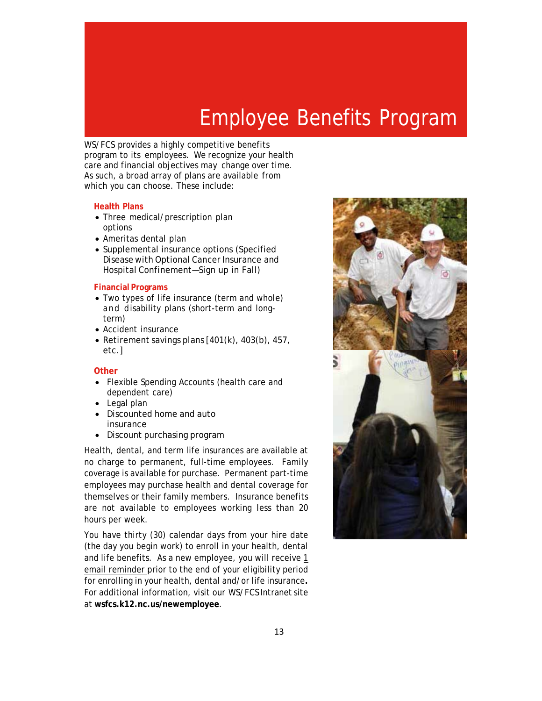# Employee Benefits Program

WS/FCS provides a highly competitive benefits program to its employees. We recognize your health care and financial objectives may change over time. As such, a broad array of plans are available from which you can choose. These include:

#### **Health Plans**

- Three medical/prescription plan options
- Ameritas dental plan
- Supplemental insurance options (Specified Disease with Optional Cancer Insurance and Hospital Confinement—Sign up in Fall)

#### **Financial Programs**

- Two types of life insurance (term and whole) and disability plans (short-term and longterm)
- Accident insurance
- $\bullet$  Retirement savings plans  $[401(k), 403(b), 457]$ etc.]

#### **Other**

- Flexible Spending Accounts (health care and dependent care)
- Legal plan
- Discounted home and auto insurance
- Discount purchasing program

Health, dental, and term life insurances are available at no charge to permanent, full-time employees. Family coverage is available for purchase. Permanent part-time employees may purchase health and dental coverage for themselves or their family members. Insurance benefits are not available to employees working less than 20 hours per week.

You have thirty (30) calendar days from your hire date (the day you begin work) to enroll in your health, dental and life benefits. As a new employee, you will receive 1 email reminder prior to the end of your eligibility period for enrolling in your health, dental and/or life insurance**.** For additional information, visit our WS/FCS Intranet site at **wsfcs.k12.nc.us/newemployee**.

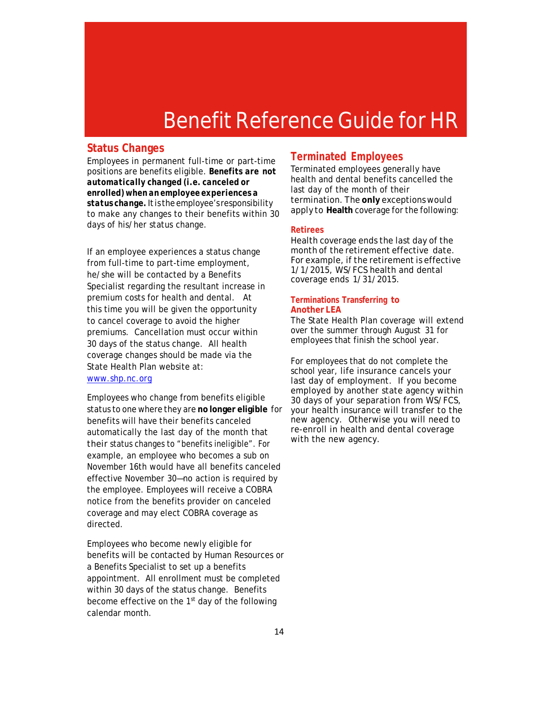## Benefit Reference Guide for HR

#### **Status Changes**

Employees in permanent full-time or part-time positions are benefits eligible. *Benefits are not automatically changed (i.e. canceled or enrolled) when an employee experiences a status change.* It is the employee's responsibility to make any changes to their benefits within 30 days of his/her status change.

If an employee experiences a status change from full-time to part-time employment, he/she will be contacted by a Benefits Specialist regarding the resultant increase in premium costs for health and dental. At this time you will be given the opportunity to cancel coverage to avoid the higher premiums. Cancellation must occur within 30 days of the status change. All health coverage changes should be made via the State Health Plan website at: www.shp.nc.org

Employees who change from benefits eligible status to one where they are **no longer eligible** for benefits will have their benefits canceled automatically the last day of the month that their status changes to "benefits ineligible". For example, an employee who becomes a sub on November 16th would have all benefits canceled effective November 30—no action is required by the employee. Employees will receive a COBRA notice from the benefits provider on canceled coverage and may elect COBRA coverage as directed.

Employees who become newly eligible for benefits will be contacted by Human Resources or a Benefits Specialist to set up a benefits appointment. All enrollment must be completed within 30 days of the status change. Benefits become effective on the  $1<sup>st</sup>$  day of the following calendar month.

## **Terminated Employees**

Terminated employees generally have health and dental benefits cancelled the last day of the month of their termination. The **only** exceptions would apply to **Health** coverage for the following:

#### **Retirees**

Health coverage ends the last day of the month of the retirement effective date. For example, if the retirement is effective 1/1/2015, WS/FCS health and dental coverage ends 1/31/2015.

#### **Terminations Transferring to Another LEA**

The State Health Plan coverage will extend over the summer through August 31 for employees that finish the school year.

For employees that do not complete the school year, life insurance cancels your last day of employment. If you become employed by another state agency within 30 days of your separation from WS/FCS, your health insurance will transfer to the new agency. Otherwise you will need to re-enroll in health and dental coverage with the new agency.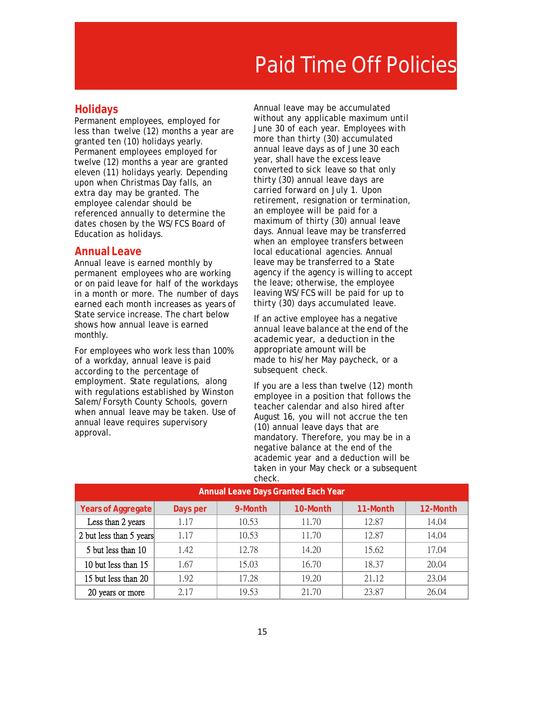## Paid Time Off Policies

#### **Holidays**

Permanent employees, employed for less than twelve (12) months a year are granted ten (10) holidays yearly. Permanent employees employed for twelve (12) months a year are granted eleven (11) holidays yearly. Depending upon when Christmas Day falls, an extra day may be granted. The employee calendar should be referenced annually to determine the dates chosen by the WS/FCS Board of Education as holidays.

#### **Annual Leave**

Annual leave is earned monthly by permanent employees who are working or on paid leave for half of the workdays in a month or more. The number of days earned each month increases as years of State service increase. The chart below shows how annual leave is earned monthly.

For employees who work less than 100% of a workday, annual leave is paid according to the percentage of employment. State regulations, along with regulations established by Winston Salem/Forsyth County Schools, govern when annual leave may be taken. Use of annual leave requires supervisory approval.

Annual leave may be accumulated without any applicable maximum until June 30 of each year. Employees with more than thirty (30) accumulated annual leave days as of June 30 each year, shall have the excess leave converted to sick leave so that only thirty (30) annual leave days are carried forward on July 1. Upon retirement, resignation or termination, an employee will be paid for a maximum of thirty (30) annual leave days. Annual leave may be transferred when an employee transfers between local educational agencies. Annual leave may be transferred to a State agency if the agency is willing to accept the leave; otherwise, the employee leaving WS/FCS will be paid for up to thirty (30) days accumulated leave.

If an active employee has a negative annual leave balance at the end of the academic year, a deduction in the appropriate amount will be made to his/her May paycheck, or a subsequent check.

If you are a less than twelve (12) month employee in a position that follows the teacher calendar and also hired after August 16, you will not accrue the ten (10) annual leave days that are mandatory. Therefore, you may be in a negative balance at the end of the academic year and a deduction will be taken in your May check or a subsequent check.

| Annual Leave Days Granted Each Year |          |         |          |          |          |
|-------------------------------------|----------|---------|----------|----------|----------|
| Years of Aggregate                  | Days per | 9-Month | 10-Month | 11-Month | 12-Month |
| Less than 2 years                   | 1.17     | 10.53   | 11.70    | 12.87    | 14.04    |
| 2 but less than 5 years             | 1.17     | 10.53   | 11.70    | 12.87    | 14.04    |
| 5 but less than 10                  | 1.42     | 12.78   | 14.20    | 15.62    | 17.04    |
| 10 but less than 15                 | 1.67     | 15.03   | 16.70    | 18.37    | 20.04    |
| 15 but less than 20                 | 1.92     | 17.28   | 19.20    | 21.12    | 23.04    |
| 20 years or more                    | 2.17     | 19.53   | 21.70    | 23.87    | 26.04    |

#### **Annual Leave Days Granted Each Year**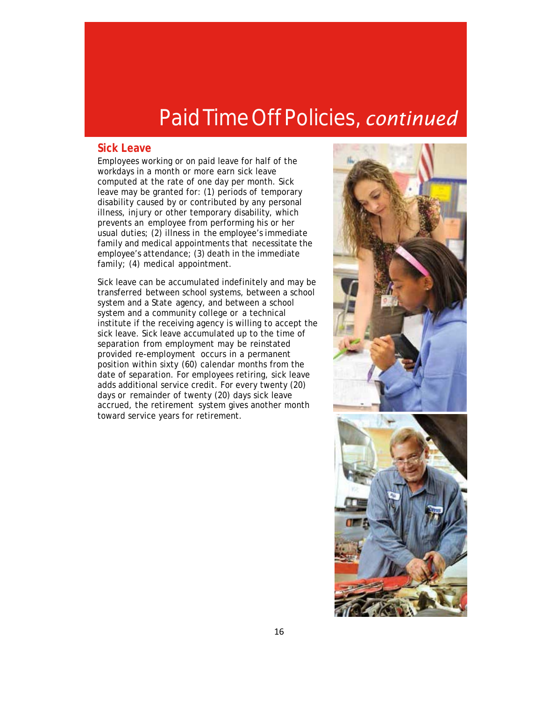## Paid Time Off Policies, *continued*

#### **Sick Leave**

Employees working or on paid leave for half of the workdays in a month or more earn sick leave computed at the rate of one day per month. Sick leave may be granted for: (1) periods of temporary disability caused by or contributed by any personal illness, injury or other temporary disability, which prevents an employee from performing his or her usual duties; (2) illness in the employee's immediate family and medical appointments that necessitate the employee's attendance; (3) death in the immediate family; (4) medical appointment.

Sick leave can be accumulated indefinitely and may be transferred between school systems, between a school system and a State agency, and between a school system and a community college or a technical institute if the receiving agency is willing to accept the sick leave. Sick leave accumulated up to the time of separation from employment may be reinstated provided re-employment occurs in a permanent position within sixty (60) calendar months from the date of separation. For employees retiring, sick leave adds additional service credit. For every twenty (20) days or remainder of twenty (20) days sick leave accrued, the retirement system gives another month toward service years for retirement.

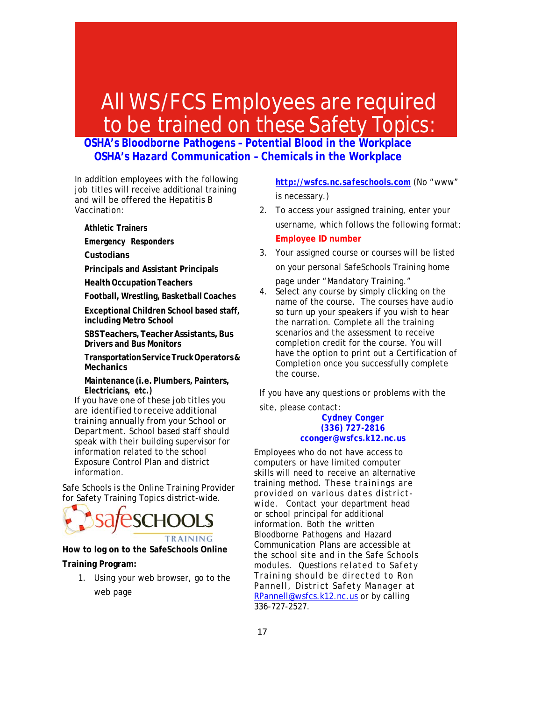## All WS/FCS Employees are required to be trained on these Safety Topics:

**OSHA's Bloodborne Pathogens – Potential Blood in the Workplace OSHA's Hazard Communication – Chemicals in the Workplace**

In addition employees with the following job titles will receive additional training and will be offered the Hepatitis B Vaccination:

**Athletic Trainers**

**Emergency Responders**

**Custodians**

**Principals and Assistant Principals** 

**Health Occupation Teachers**

**Football, Wrestling, Basketball Coaches**

**Exceptional Children School based staff, including Metro School**

**SBS Teachers, Teacher Assistants, Bus Drivers and Bus Monitors**

**Transportation Service Truck Operators & Mechanics**

**Maintenance (i.e. Plumbers, Painters, Electricians, etc.)**

If you have one of these job titles you are identified to receive additional training annually from your School or Department. School based staff should speak with their building supervisor for information related to the school Exposure Control Plan and district information.

Safe Schools is the Online Training Provider for Safety Training Topics district-wide.



**How to log on to the SafeSchools Online Training Program:**

1. Using your web browser, go to the web page

### *http://wsfcs.nc.safeschools.com* (No "www" is necessary.)

- 2. To access your assigned training, enter your username, which follows the following format: **Employee ID number**
- 3. Your assigned course or courses will be listed on your personal SafeSchools Training home page under "Mandatory Training."
- 4. Select any course by simply clicking on the name of the course. The courses have audio so turn up your speakers if you wish to hear the narration. Complete all the training scenarios and the assessment to receive completion credit for the course. You will have the option to print out a Certification of Completion once you successfully complete the course.

If you have any questions or problems with the

site, please contact:

*Cydney Conger (336) 727-2816 cconger@wsfcs.k12.nc.us* 

Employees who do not have access to computers or have limited computer skills will need to receive an alternative training method. These trainings are provided on various dates districtwide. Contact your department head or school principal for additional information. Both the written Bloodborne Pathogens and Hazard Communication Plans are accessible at the school site and in the Safe Schools modules. Questions related to Safety Training should be directed to Ron Pannell, District Safety Manager at RPannell@wsfcs.k12.nc.us or by calling 336-727-2527.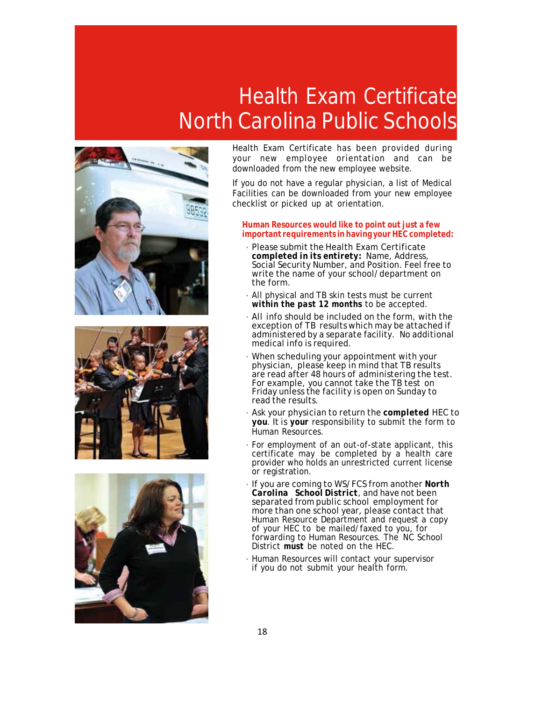# Health Exam Certificate North Carolina Public Schools







Health Exam Certificate has been provided during your new employee orientation and can be downloaded from the new employee website.

If you do not have a regular physician, a list of Medical Facilities can be downloaded from your new employee checklist or picked up at orientation.

#### **Human Resources would like to point out just a few important requirements in having your HEC completed:**

- Please submit the Health Exam Certificate *completed in its entirety:* Name, Address, Social Security Number, and Position. Feel free to write the name of your school/department on the form.
- All physical and TB skin tests must be current *within the past 12 months* to be accepted.
- All info should be included on the form, with the exception of TB results which may be attached if administered by a separate facility. No additional medical info is required.
- When scheduling your appointment with your physician, please keep in mind that TB results are read after 48 hours of administering the test. For example, you cannot take the TB test on Friday unless the facility is open on Sunday to read the results.
- Ask your physician to return the *completed* HEC to *you*. It is *your* responsibility to submit the form to Human Resources.
- For employment of an out-of-state applicant, this certificate may be completed by a health care provider who holds an unrestricted current license or registration.
- If you are coming to WS/FCS from another *North Carolina School District*, and have not been separated from public school employment for more than one school year, please contact that Human Resource Department and request a copy of your HEC to be mailed/faxed to you, for forwarding to Human Resources. The NC School District *must* be noted on the HEC.
- Human Resources will contact your supervisor if you do not submit your health form.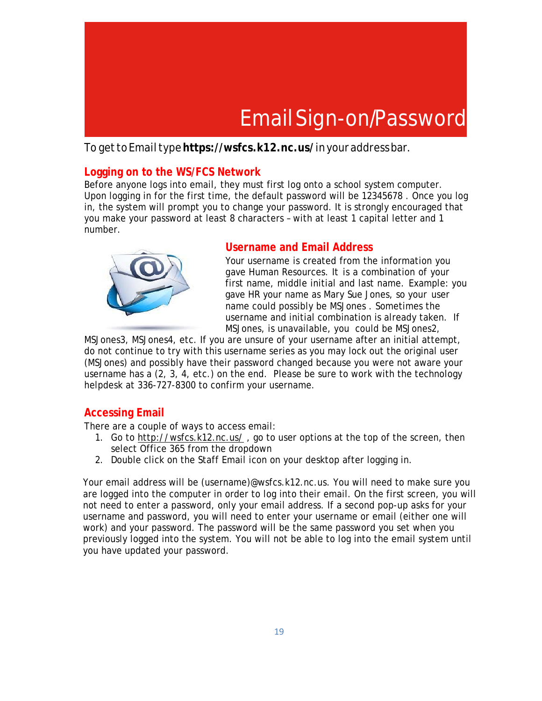# Email Sign-on/Password

## To get to Email type **https://wsfcs.k12.nc.us/** in your address bar.

## **Logging on to the WS/FCS Network**

Before anyone logs into email, they must first log onto a school system computer. Upon logging in for the first time, the default password will be 12345678 . Once you log in, the system will prompt you to change your password. It is strongly encouraged that you make your password at least 8 characters – with at least 1 capital letter and 1 number.



## **Username and Email Address**

Your username is created from the information you gave Human Resources. It is a combination of your first name, middle initial and last name. Example: you gave HR your name as Mary Sue Jones, so your user name could possibly be MSJones . Sometimes the username and initial combination is already taken. If MSJones, is unavailable, you could be MSJones2,

MSJones3, MSJones4, etc. If you are unsure of your username after an initial attempt, do not continue to try with this username series as you may lock out the original user (MSJones) and possibly have their password changed because you were not aware your username has a (2, 3, 4, etc.) on the end. Please be sure to work with the technology helpdesk at 336-727-8300 to confirm your username.

## **Accessing Email**

There are a couple of ways to access email:

- 1. Go to http://wsfcs.k12.nc.us/ , go to user options at the top of the screen, then select Office 365 from the dropdown
- 2. Double click on the Staff Email icon on your desktop after logging in.

Your email address will be (username)@wsfcs.k12.nc.us. You will need to make sure you are logged into the computer in order to log into their email. On the first screen, you will not need to enter a password, only your email address. If a second pop-up asks for your username and password, you will need to enter your username or email (either one will work) and your password. The password will be the same password you set when you previously logged into the system. You will not be able to log into the email system until you have updated your password.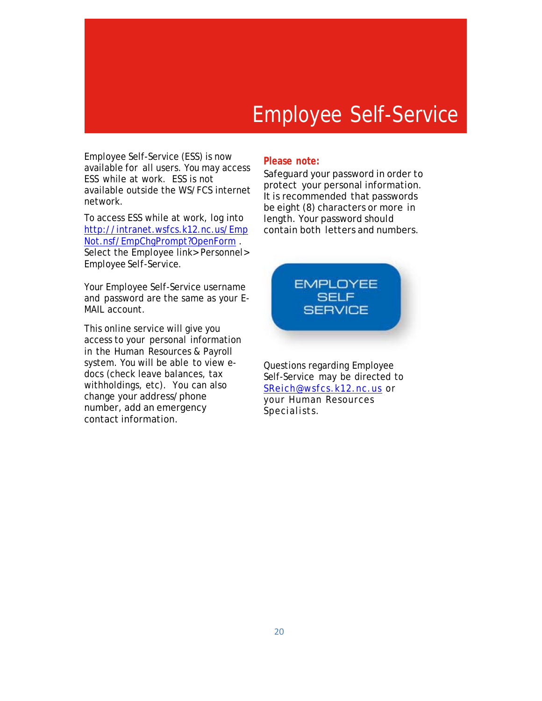## Employee Self-Service

Employee Self-Service (ESS) is now available for all users. You may access ESS while at work. ESS is not available outside the WS/FCS internet network.

To access ESS while at work, log into http://intranet.wsfcs.k12.nc.us/Emp Not.nsf/EmpChgPrompt?OpenForm . Select the *Employee* link> *Personnel*> *Employee Self-Service*.

Your Employee Self-Service username and password are the same as your E-MAIL account.

This online service will give you access to your personal information in the Human Resources & Payroll system. You will be able to view edocs (check leave balances, tax withholdings, etc). You can also change your address/phone number, add an emergency contact information.

### **Please note:**

Safeguard your password in order to protect your personal information. It is recommended that passwords be eight (8) characters or more in length. Your password should contain both letters and numbers.



Questions regarding Employee Self-Service may be directed to SReich@wsfcs.k12.nc.us or your Human Resources Specialists.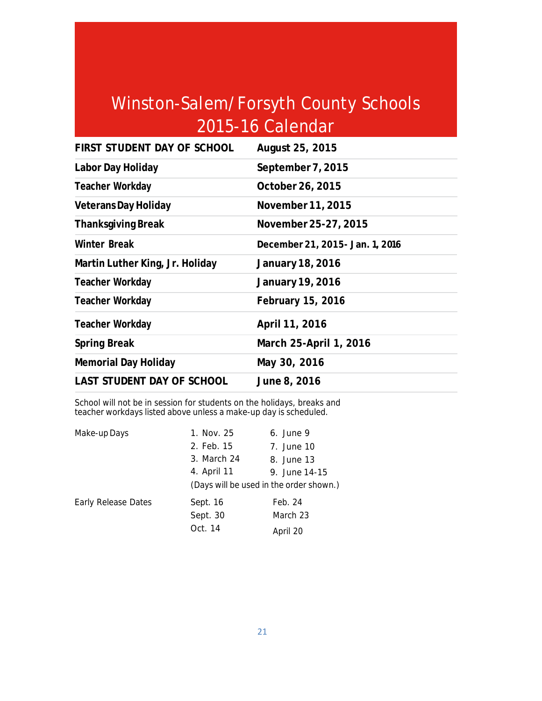## Winston-Salem/Forsyth County Schools 2015-16 Calendar

| FIRST STUDENT DAY OF SCHOOL       | August 25, 2015                  |
|-----------------------------------|----------------------------------|
| Labor Day Holiday                 | September 7, 2015                |
| <b>Teacher Workday</b>            | October 26, 2015                 |
| <b>Veterans Day Holiday</b>       | November 11, 2015                |
| <b>Thanksgiving Break</b>         | November 25-27, 2015             |
| Winter Break                      | December 21, 2015 - Jan. 1, 2016 |
| Martin Luther King, Jr. Holiday   | January 18, 2016                 |
| <b>Teacher Workday</b>            | January 19, 2016                 |
| <b>Teacher Workday</b>            | <b>February 15, 2016</b>         |
| <b>Teacher Workday</b>            | April 11, 2016                   |
| <b>Spring Break</b>               | March 25-April 1, 2016           |
| <b>Memorial Day Holiday</b>       | May 30, 2016                     |
| <b>LAST STUDENT DAY OF SCHOOL</b> | June 8, 2016                     |

School will not be in session for students on the holidays, breaks and teacher workdays listed above unless a make-up day is scheduled.

| Make-up Days               | 1. Nov. 25                              | 6. June 9     |  |  |
|----------------------------|-----------------------------------------|---------------|--|--|
|                            | 2. Feb. 15                              | 7. June 10    |  |  |
|                            | 3. March 24                             | 8. June 13    |  |  |
|                            | 4. April 11                             | 9. June 14-15 |  |  |
|                            | (Days will be used in the order shown.) |               |  |  |
| <b>Early Release Dates</b> | Sept. 16                                | Feb. 24       |  |  |
|                            | Sept. 30                                | March 23      |  |  |
|                            | Oct. 14                                 | April 20      |  |  |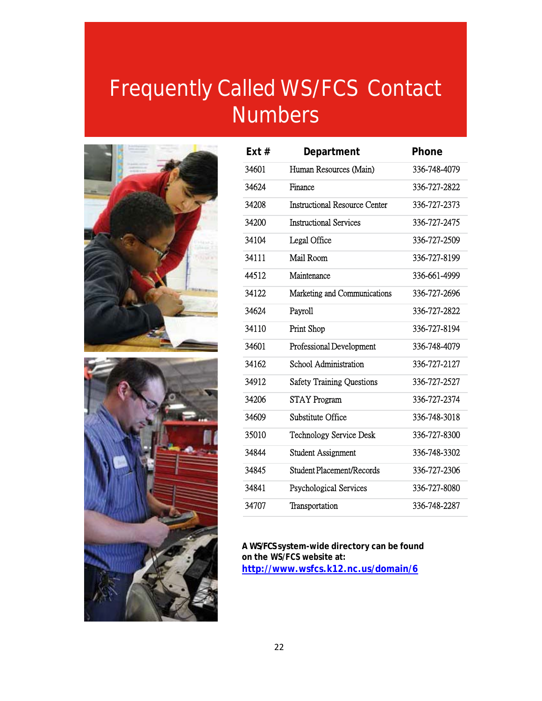# Frequently Called WS/FCS Contact **Numbers**





| Ext # | Department                           | Phone        |
|-------|--------------------------------------|--------------|
| 34601 | Human Resources (Main)               | 336-748-4079 |
| 34624 | Finance                              | 336-727-2822 |
| 34208 | <b>Instructional Resource Center</b> | 336-727-2373 |
| 34200 | <b>Instructional Services</b>        | 336-727-2475 |
| 34104 | Legal Office                         | 336-727-2509 |
| 34111 | Mail Room                            | 336-727-8199 |
| 44512 | Maintenance                          | 336-661-4999 |
| 34122 | Marketing and Communications         | 336-727-2696 |
| 34624 | Payroll                              | 336-727-2822 |
| 34110 | Print Shop                           | 336-727-8194 |
| 34601 | Professional Development             | 336-748-4079 |
| 34162 | School Administration                | 336-727-2127 |
| 34912 | <b>Safety Training Questions</b>     | 336-727-2527 |
| 34206 | <b>STAY Program</b>                  | 336-727-2374 |
| 34609 | Substitute Office                    | 336-748-3018 |
| 35010 | <b>Technology Service Desk</b>       | 336-727-8300 |
| 34844 | <b>Student Assignment</b>            | 336-748-3302 |
| 34845 | <b>Student Placement/Records</b>     | 336-727-2306 |
| 34841 | <b>Psychological Services</b>        | 336-727-8080 |
| 34707 | Transportation                       | 336-748-2287 |

**A WS/FCS system-wide directory can be found on the WS/FCS website at: http://www.wsfcs.k12.nc.us/domain/6**